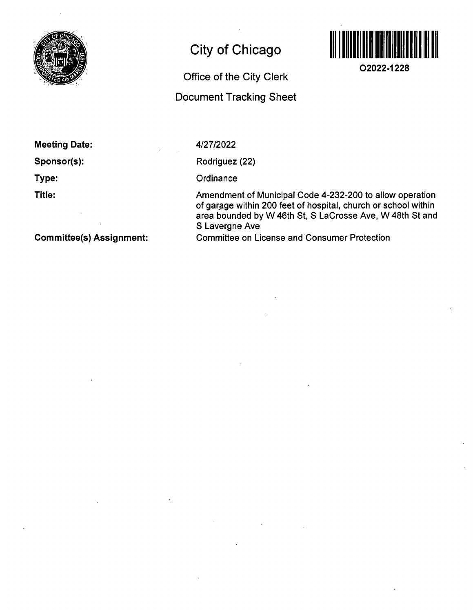

## **City of Chicago**

**Office of the City Clerk** 

**Document Tracking Sheet** 



**O2022-1228** 

**Meeting Date:** 

**Sponsor(s):** 

**Type:** 

**Title:** 

4/27/2022

Rodriguez (22)

**Ordinance** 

Amendment of Municipal Code 4-232-200 to allow operation of garage within 200 feet of hospital, church or school within area bounded by W 46th St, 8 LaCrosse Ave, W 48th St and S Lavergne Ave Committee on License and Consumer Protection

**Committee(s) Assignment:**